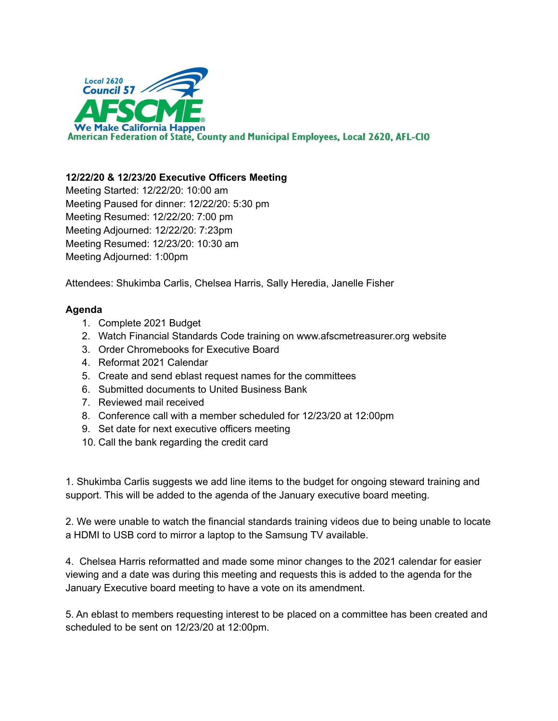

## **12/22/20 & 12/23/20 Executive Officers Meeting**

Meeting Started: 12/22/20: 10:00 am Meeting Paused for dinner: 12/22/20: 5:30 pm Meeting Resumed: 12/22/20: 7:00 pm Meeting Adjourned: 12/22/20: 7:23pm Meeting Resumed: 12/23/20: 10:30 am Meeting Adjourned: 1:00pm

Attendees: Shukimba Carlis, Chelsea Harris, Sally Heredia, Janelle Fisher

## **Agenda**

- 1. Complete 2021 Budget
- 2. Watch Financial Standards Code training on www.afscmetreasurer.org website
- 3. Order Chromebooks for Executive Board
- 4. Reformat 2021 Calendar
- 5. Create and send eblast request names for the committees
- 6. Submitted documents to United Business Bank
- 7. Reviewed mail received
- 8. Conference call with a member scheduled for 12/23/20 at 12:00pm
- 9. Set date for next executive officers meeting
- 10. Call the bank regarding the credit card

1. Shukimba Carlis suggests we add line items to the budget for ongoing steward training and support. This will be added to the agenda of the January executive board meeting.

2. We were unable to watch the financial standards training videos due to being unable to locate a HDMI to USB cord to mirror a laptop to the Samsung TV available.

4. Chelsea Harris reformatted and made some minor changes to the 2021 calendar for easier viewing and a date was during this meeting and requests this is added to the agenda for the January Executive board meeting to have a vote on its amendment.

5. An eblast to members requesting interest to be placed on a committee has been created and scheduled to be sent on 12/23/20 at 12:00pm.